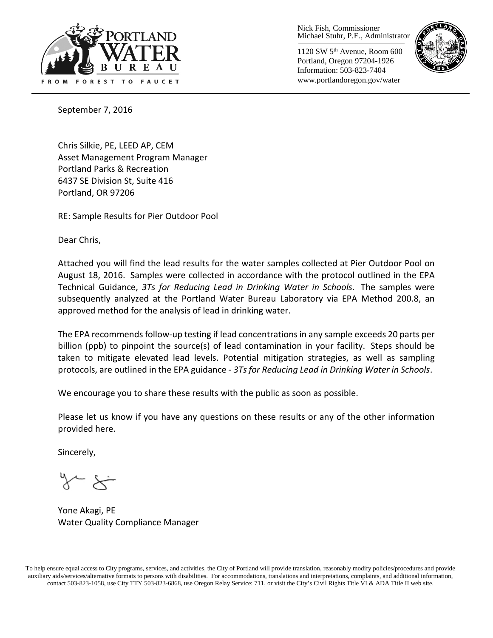

Nick Fish, Commissioner Michael Stuhr, P.E., Administrator

1120 SW 5th Avenue, Room 600 Portland, Oregon 97204-1926 Information: 503-823-7404 www.portlandoregon.gov/water



September 7, 2016

Chris Silkie, PE, LEED AP, CEM Asset Management Program Manager Portland Parks & Recreation 6437 SE Division St, Suite 416 Portland, OR 97206

RE: Sample Results for Pier Outdoor Pool

Dear Chris,

Attached you will find the lead results for the water samples collected at Pier Outdoor Pool on August 18, 2016. Samples were collected in accordance with the protocol outlined in the EPA Technical Guidance, *3Ts for Reducing Lead in Drinking Water in Schools*. The samples were subsequently analyzed at the Portland Water Bureau Laboratory via EPA Method 200.8, an approved method for the analysis of lead in drinking water.

The EPA recommends follow-up testing if lead concentrations in any sample exceeds 20 parts per billion (ppb) to pinpoint the source(s) of lead contamination in your facility. Steps should be taken to mitigate elevated lead levels. Potential mitigation strategies, as well as sampling protocols, are outlined in the EPA guidance - *3Ts for Reducing Lead in Drinking Water in Schools*.

We encourage you to share these results with the public as soon as possible.

Please let us know if you have any questions on these results or any of the other information provided here.

Sincerely,

Yone Akagi, PE Water Quality Compliance Manager

To help ensure equal access to City programs, services, and activities, the City of Portland will provide translation, reasonably modify policies/procedures and provide auxiliary aids/services/alternative formats to persons with disabilities. For accommodations, translations and interpretations, complaints, and additional information, contact 503-823-1058, use City TTY 503-823-6868, use Oregon Relay Service: 711, or visi[t the City's Civil Rights Title VI & ADA Title II web site.](http://www.portlandoregon.gov/oehr/66458)